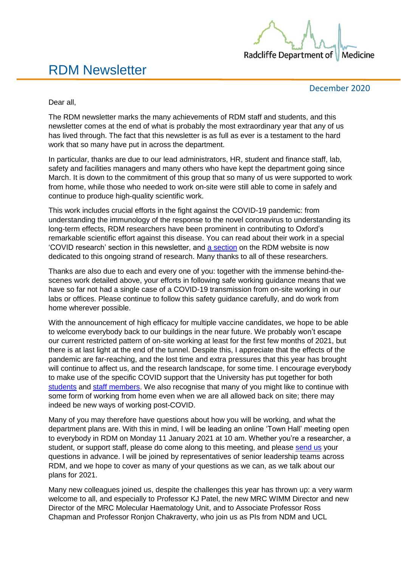

# RDM Newsletter

December 2020

Dear all,

The RDM newsletter marks the many achievements of RDM staff and students, and this newsletter comes at the end of what is probably the most extraordinary year that any of us has lived through. The fact that this newsletter is as full as ever is a testament to the hard work that so many have put in across the department.

In particular, thanks are due to our lead administrators, HR, student and finance staff, lab, safety and facilities managers and many others who have kept the department going since March. It is down to the commitment of this group that so many of us were supported to work from home, while those who needed to work on-site were still able to come in safely and continue to produce high-quality scientific work.

This work includes crucial efforts in the fight against the COVID-19 pandemic: from understanding the immunology of the response to the novel coronavirus to understanding its long-term effects, RDM researchers have been prominent in contributing to Oxford's remarkable scientific effort against this disease. You can read about their work in a special 'COVID research' section in this newsletter, and [a section](https://www.rdm.ox.ac.uk/news/search?category=covid-19-research) on the RDM website is now dedicated to this ongoing strand of research. Many thanks to all of these researchers.

Thanks are also due to each and every one of you: together with the immense behind-thescenes work detailed above, your efforts in following safe working guidance means that we have so far not had a single case of a COVID-19 transmission from on-site working in our labs or offices. Please continue to follow this safety guidance carefully, and do work from home wherever possible.

With the announcement of high efficacy for multiple vaccine candidates, we hope to be able to welcome everybody back to our buildings in the near future. We probably won't escape our current restricted pattern of on-site working at least for the first few months of 2021, but there is at last light at the end of the tunnel. Despite this, I appreciate that the effects of the pandemic are far-reaching, and the lost time and extra pressures that this year has brought will continue to affect us, and the research landscape, for some time. I encourage everybody to make use of the specific COVID support that the University has put together for both [students](https://www.ox.ac.uk/coronavirus/students) and [staff members.](https://www.ox.ac.uk/coronavirus/staff) We also recognise that many of you might like to continue with some form of working from home even when we are all allowed back on site; there may indeed be new ways of working post-COVID.

Many of you may therefore have questions about how you will be working, and what the department plans are. With this in mind, I will be leading an online 'Town Hall' meeting open to everybody in RDM on Monday 11 January 2021 at 10 am. Whether you're a researcher, a student, or support staff, please do come along to this meeting, and please [send us](mailto:communications@rdm.ox.ac.uk?subject=HoD%20Town%20Hall%20Meeting) your questions in advance. I will be joined by representatives of senior leadership teams across RDM, and we hope to cover as many of your questions as we can, as we talk about our plans for 2021.

Many new colleagues joined us, despite the challenges this year has thrown up: a very warm welcome to all, and especially to Professor KJ Patel, the new MRC WIMM Director and new Director of the MRC Molecular Haematology Unit, and to Associate Professor Ross Chapman and Professor Ronjon Chakraverty, who join us as PIs from NDM and UCL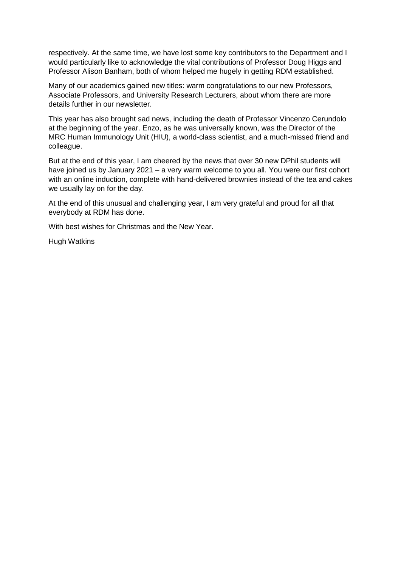respectively. At the same time, we have lost some key contributors to the Department and I would particularly like to acknowledge the vital contributions of Professor Doug Higgs and Professor Alison Banham, both of whom helped me hugely in getting RDM established.

Many of our academics gained new titles: warm congratulations to our new Professors, Associate Professors, and University Research Lecturers, about whom there are more details further in our newsletter.

This year has also brought sad news, including the death of Professor Vincenzo Cerundolo at the beginning of the year. Enzo, as he was universally known, was the Director of the MRC Human Immunology Unit (HIU), a world-class scientist, and a much-missed friend and colleague.

But at the end of this year, I am cheered by the news that over 30 new DPhil students will have joined us by January 2021 – a very warm welcome to you all. You were our first cohort with an online induction, complete with hand-delivered brownies instead of the tea and cakes we usually lay on for the day.

At the end of this unusual and challenging year, I am very grateful and proud for all that everybody at RDM has done.

With best wishes for Christmas and the New Year.

Hugh Watkins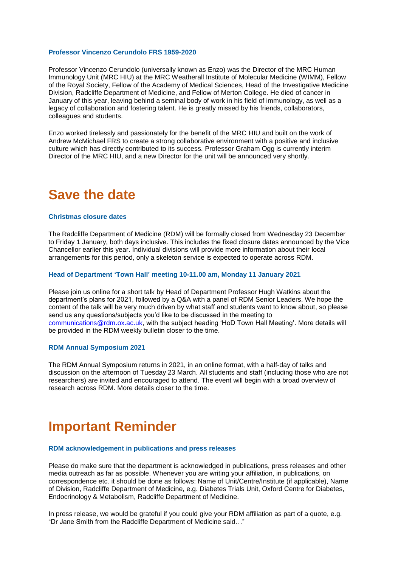#### **Professor Vincenzo Cerundolo FRS 1959-2020**

Professor Vincenzo Cerundolo (universally known as Enzo) was the Director of the [MRC Human](https://www.imm.ox.ac.uk/resolveuid/656524f899834bc39c0e1085bcd84c98)  [Immunology Unit](https://www.imm.ox.ac.uk/resolveuid/656524f899834bc39c0e1085bcd84c98) (MRC HIU) at the MRC Weatherall Institute of Molecular Medicine (WIMM), Fellow of the Royal Society, Fellow of the Academy of Medical Sciences, Head of the Investigative Medicine Division, Radcliffe Department of Medicine, and Fellow of Merton College. He died of cancer in January of this year, leaving behind a seminal body of work in his field of immunology, as well as a legacy of collaboration and fostering talent. He is greatly missed by his friends, collaborators, colleagues and students.

Enzo worked tirelessly and passionately for the benefit of the MRC HIU and built on the work of Andrew McMichael FRS to create a strong collaborative environment with a positive and inclusive culture which has directly contributed to its success. Professor Graham Ogg is currently interim Director of the MRC HIU, and a new Director for the unit will be announced very shortly.

# **Save the date**

#### **Christmas closure dates**

The Radcliffe Department of Medicine (RDM) will be formally closed from Wednesday 23 December to Friday 1 January, both days inclusive. This includes the fixed closure dates announced by the Vice Chancellor earlier this year. Individual divisions will provide more information about their local arrangements for this period, only a skeleton service is expected to operate across RDM.

#### **Head of Department 'Town Hall' meeting 10-11.00 am, Monday 11 January 2021**

Please join us online for a short talk by Head of Department Professor Hugh Watkins about the department's plans for 2021, followed by a Q&A with a panel of RDM Senior Leaders. We hope the content of the talk will be very much driven by what staff and students want to know about, so please send us any questions/subjects you'd like to be discussed in the meeting to [communications@rdm.ox.ac.uk,](mailto:communications@rdm.ox.ac.uk?subject=HoD%20Town%20Hall%20Meeting) with the subject heading 'HoD Town Hall Meeting'. More details will be provided in the RDM weekly bulletin closer to the time.

#### **RDM Annual Symposium 2021**

The RDM Annual Symposium returns in 2021, in an online format, with a half-day of talks and discussion on the afternoon of Tuesday 23 March. All students and staff (including those who are not researchers) are invited and encouraged to attend. The event will begin with a broad overview of research across RDM. More details closer to the time.

# **Important Reminder**

#### **RDM acknowledgement in publications and press releases**

Please do make sure that the department is acknowledged in publications, press releases and other media outreach as far as possible. Whenever you are writing your affiliation, in publications, on correspondence etc. it should be done as follows: Name of Unit/Centre/Institute (if applicable), Name of Division, Radcliffe Department of Medicine, e.g. Diabetes Trials Unit, Oxford Centre for Diabetes, Endocrinology & Metabolism, Radcliffe Department of Medicine.

In press release, we would be grateful if you could give your RDM affiliation as part of a quote, e.g. "Dr Jane Smith from the Radcliffe Department of Medicine said…"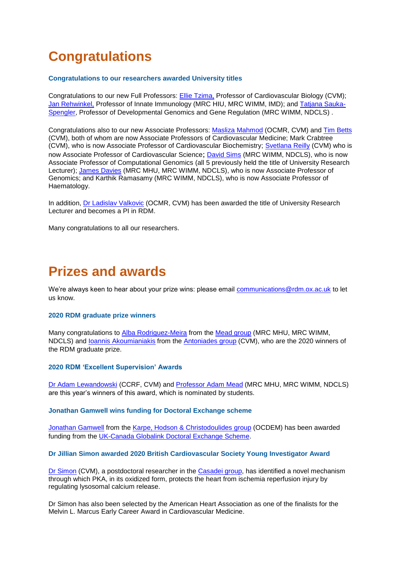# **Congratulations**

### **Congratulations to our researchers awarded University titles**

Congratulations to our new Full Professors: **Ellie Tzima**, Professor of Cardiovascular Biology (CVM)[;](https://www.rdm.ox.ac.uk/people/jan-rehwinkel) [Jan Rehwinkel,](https://www.rdm.ox.ac.uk/people/jan-rehwinkel) Professor of Innate Immunology (MRC HIU, MRC WIMM, IMD); and [Tatjana Sauka-](https://www.rdm.ox.ac.uk/people/tatjan-sauka-spengler)[Spengler,](https://www.rdm.ox.ac.uk/people/tatjan-sauka-spengler) Professor of Developmental Genomics and Gene Regulation (MRC WIMM, NDCLS) .

Congratulations also to our new Associate Professors: [Masliza Mahmod](https://www.rdm.ox.ac.uk/people/masliza-mahmod) (OCMR, CVM) and [Tim Betts](https://www.rdm.ox.ac.uk/people/timothy-betts) (CVM), both of whom are now Associate Professors of Cardiovascular Medicine; Mark Crabtree (CVM), who is now Associate Professor of Cardiovascular Biochemistry; [Svetlana Reilly](https://www.rdm.ox.ac.uk/people/svetlana-reilly) (CVM) who is now Associate Professor of Cardiovascular Science; [David Sims](https://www.rdm.ox.ac.uk/people/david-sims) (MRC WIMM, NDCLS), who is now Associate Professor of Computational Genomics (all 5 previously held the title of University Research Lecturer); [James Davies](https://www.rdm.ox.ac.uk/people/james-davies) (MRC MHU, MRC WIMM, NDCLS), who is now Associate Professor of Genomics; and Karthik Ramasamy (MRC WIMM, NDCLS), who is now Associate Professor of Haematology.

In addition, [Dr Ladislav Valkovic](https://www.rdm.ox.ac.uk/people/ladislav-valkovic) (OCMR, CVM) has been awarded the title of University Research Lecturer and becomes a PI in RDM.

Many congratulations to all our researchers.

# **Prizes and awards**

We're always keen to hear about your prize wins: please email [communications@rdm.ox.ac.uk](mailto:communications@rdm.ox.ac.uk) to let us know.

#### **2020 RDM graduate prize winners**

Many congratulations to [Alba Rodriguez-Meira](https://www.rdm.ox.ac.uk/people/alba-rodriguezmeira) from the [Mead group](https://www.rdm.ox.ac.uk/about/our-divisions/nuffield-division-of-clinical-laboratory-sciences/nuffield-division-of-clinical-laboratory-sciences-research/mead-group-haematopoietic-stem-cell-biology) (MRC MHU, MRC WIMM, NDCLS) and [Ioannis Akoumianiakis](https://www.rdm.ox.ac.uk/people/ioannis-akoumianakis) from the [Antoniades group](https://www.rdm.ox.ac.uk/about/our-divisions/division-of-cardiovascular-medicine/division-of-cardiovascular-medicine-research/the-oxford-translational-cardiovascular-research-group) (CVM), who are the 2020 winners of the RDM graduate prize.

# **2020 RDM 'Excellent Supervision' Awards**

[Dr Adam Lewandowski](https://www.rdm.ox.ac.uk/people/adam-lewandowski) (CCRF, CVM) and [Professor Adam Mead](https://www.rdm.ox.ac.uk/people/adam-mead) (MRC MHU, MRC WIMM, NDCLS) are this year's winners of this award, which is nominated by students.

### **Jonathan Gamwell wins funding for Doctoral Exchange scheme**

[Jonathan Gamwell](https://www.rdm.ox.ac.uk/people/jonathan-gamwell) from the [Karpe, Hodson & Christodoulides group](https://www.rdm.ox.ac.uk/about/our-divisions/oxford-centre-for-diabetes-endocrinology-and-metabolism/oxford-centre-for-diabetes-endocrinology-and-metabolism-research/metabolic-research-group) (OCDEM) has been awarded funding from the [UK-Canada Globalink Doctoral Exchange Scheme.](https://www.ukri.org/opportunity/uk-canada-globalink-doctoral-exchange-scheme/)

**Dr Jillian Simon awarded 2020 British Cardiovascular Society Young Investigator Award**

[Dr Simon](https://www.rdm.ox.ac.uk/people/jillian-simon) (CVM), a postdoctoral researcher in the [Casadei group,](https://www.rdm.ox.ac.uk/about/our-divisions/division-of-cardiovascular-medicine/division-of-cardiovascular-medicine-research/translational-approaches-in-chronic-cardiac-disease) has identified a novel mechanism through which PKA, in its oxidized form, protects the heart from ischemia reperfusion injury by regulating lysosomal calcium release.

Dr Simon has also been selected by the American Heart Association as one of the finalists for the Melvin L. Marcus Early Career Award in Cardiovascular Medicine.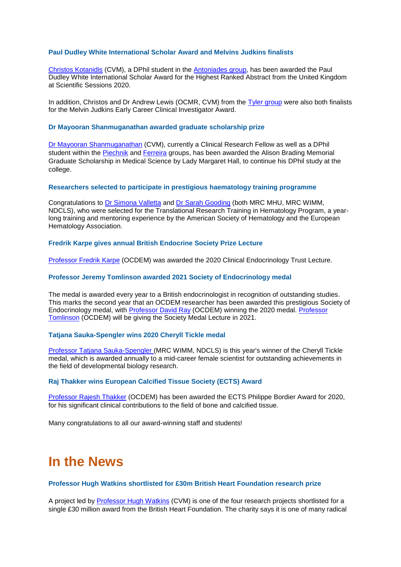### **Paul Dudley White International Scholar Award and Melvins Judkins finalists**

[Christos Kotanidis](https://www.rdm.ox.ac.uk/people/christos-kotanidis) (CVM), a DPhil student in the [Antoniades group,](https://www.rdm.ox.ac.uk/about/our-divisions/division-of-cardiovascular-medicine/division-of-cardiovascular-medicine-research/the-oxford-translational-cardiovascular-research-group) has been awarded the Paul Dudley White International Scholar Award for the Highest Ranked Abstract from the United Kingdom at Scientific Sessions 2020.

In addition, Christos and Dr Andrew Lewis (OCMR, CVM) from the [Tyler group](https://www.rdm.ox.ac.uk/research/tyler-group) were also both finalists for the Melvin Judkins Early Career Clinical Investigator Award.

#### **Dr Mayooran Shanmuganathan awarded graduate scholarship prize**

[Dr Mayooran Shanmuganathan](https://www.rdm.ox.ac.uk/people/mayooran-shanmuganathan) (CVM), currently a Clinical Research Fellow as well as a DPhil student within the [Piechnik](https://www.rdm.ox.ac.uk/about/our-divisions/division-of-cardiovascular-medicine/division-of-cardiovascular-medicine-research/piechnik-group-myocardial-functional-t1-mapping-2013-advanced-cardiac-magnetic-resonance-imaging-techniques) and [Ferreira](https://www.rdm.ox.ac.uk/about/our-divisions/division-of-cardiovascular-medicine/division-of-cardiovascular-medicine-research/quantitative-cardiac-magnetic-resonance-cmr-myocardial-tissue-characterisation-ferreira) groups, has been awarded the Alison Brading Memorial Graduate Scholarship in Medical Science by Lady Margaret Hall, to continue his DPhil study at the college.

#### **Researchers selected to participate in prestigious haematology training programme**

Congratulations to [Dr Simona Valletta](https://www.rdm.ox.ac.uk/people/simona-valletta) and [Dr Sarah Gooding](https://www.rdm.ox.ac.uk/people/sarah-gooding) (both MRC MHU, MRC WIMM, NDCLS), who were selected for the Translational Research Training in Hematology Program, a yearlong training and mentoring experience by the American Society of Hematology and the European Hematology Association.

#### **Fredrik Karpe gives annual British Endocrine Society Prize Lecture**

[Professor Fredrik Karpe](https://www.rdm.ox.ac.uk/people/fredrik-karpe) (OCDEM) was awarded the 2020 Clinical Endocrinology Trust Lecture.

#### **Professor Jeremy Tomlinson awarded 2021 Society of Endocrinology medal**

The medal is awarded every year to a British endocrinologist in recognition of outstanding studies. This marks the second year that an OCDEM researcher has been awarded this prestigious Society of Endocrinology medal, with Professor [David Ray](https://www.rdm.ox.ac.uk/people/david-ray) (OCDEM) winning the 2020 medal. [Professor](https://www.rdm.ox.ac.uk/people/jeremy-tomlinson)  [Tomlinson](https://www.rdm.ox.ac.uk/people/jeremy-tomlinson) (OCDEM) will be giving the Society Medal Lecture in 2021.

## **Tatjana Sauka-Spengler wins 2020 Cheryll Tickle medal**

[Professor Tatjana Sauka-Spengler](https://www.rdm.ox.ac.uk/people/tatjan-sauka-spengler) (MRC WIMM, NDCLS) is this year's winner of the Cheryll Tickle medal, which is awarded annually to a mid-career female scientist for outstanding achievements in the field of developmental biology research.

#### **Raj Thakker wins European Calcified Tissue Society (ECTS) Award**

[Professor Rajesh Thakker](https://www.rdm.ox.ac.uk/people/rajesh-thakker) (OCDEM) has been awarded the ECTS Philippe Bordier Award for 2020, for his significant clinical contributions to the field of bone and calcified tissue.

Many congratulations to all our award-winning staff and students!

# **In the News**

### **Professor Hugh Watkins shortlisted for £30m British Heart Foundation research prize**

A project led by [Professor Hugh Watkins](https://www.rdm.ox.ac.uk/people/hugh-watkins-1) (CVM) is one of the four research projects shortlisted for a single £30 million award from the British Heart Foundation. The charity says it is one of many radical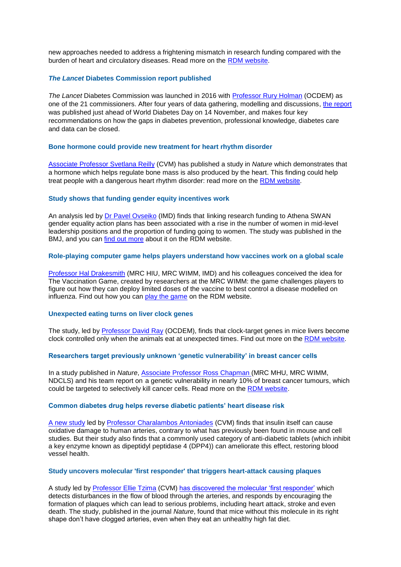new approaches needed to address a frightening mismatch in research funding compared with the burden of heart and circulatory diseases. Read more on the [RDM website.](https://www.rdm.ox.ac.uk/news/professor-hugh-watkins-shortlisted-for-ps30m-british-heart-foundation-research-prize)

### *The Lancet* **Diabetes Commission report published**

*The Lancet* Diabetes Commission was launched in 2016 with [Professor Rury Holman](https://www.rdm.ox.ac.uk/people/rury-holman) (OCDEM) as one of the 21 commissioners. After four years of data gathering, modelling and discussions, [the report](https://www.thelancet.com/journals/lancet/article/PIIS0140-6736(20)32374-6/fulltext) was published just ahead of World Diabetes Day on 14 November, and makes four key recommendations on how the gaps in diabetes prevention, professional knowledge, diabetes care and data can be closed.

#### **Bone hormone could provide new treatment for heart rhythm disorder**

[Associate Professor Svetlana Reilly](https://www.rdm.ox.ac.uk/people/svetlana-reilly) (CVM) has published a study in *Nature* which demonstrates that a hormone which helps regulate bone mass is also produced by the heart. This finding could help treat people with a dangerous heart rhythm disorder: read more on the [RDM website.](https://www.rdm.ox.ac.uk/news/bone-hormone-could-provide-new-treatment-for-heart-rhythm-disorder)

#### **Study shows that funding gender equity incentives work**

An analysis led by [Dr Pavel Ovseiko](https://www.rdm.ox.ac.uk/people/pavel-ovseiko) (IMD) finds that linking research funding to Athena SWAN gender equality action plans has been associated with a rise in the number of women in mid-level leadership positions and the proportion of funding going to women. The study was published in the BMJ, and you can [find out more](https://www.rdm.ox.ac.uk/news/analysis-shows-that-funding-gender-equity-incentives-can-work) about it on the RDM website.

#### **Role-playing computer game helps players understand how vaccines work on a global scale**

[Professor Hal Drakesmith](https://www.rdm.ox.ac.uk/people/alexander-drakesmith) (MRC HIU, MRC WIMM, IMD) and his colleagues conceived the idea for [The Vaccination Game,](https://snappishstew.itch.io/the-vaccination-game?secret=NyC4Za6c8gMTxsUfAgQuWQFgos) created by researchers at the MRC WIMM: the game challenges players to figure out how they can deploy limited doses of the vaccine to best control a disease modelled on influenza. Find out how you can [play the game](https://www.rdm.ox.ac.uk/news/role-playing-computer-game-helps-players-understand-how-vaccines-work-on-a-global-scale) on the RDM website.

#### **Unexpected eating turns on liver clock genes**

The study, led by [Professor David Ray](https://www.rdm.ox.ac.uk/people/david-ray) (OCDEM), finds that clock-target genes in mice livers become clock controlled only when the animals eat at unexpected times. Find out more on the [RDM website.](https://www.rdm.ox.ac.uk/news/unexpected-eating-turns-on-liver-clock-genes)

#### **Researchers target previously unknown 'genetic vulnerability' in breast cancer cells**

In a study published in *Nature*, [Associate Professor](https://www.rdm.ox.ac.uk/people/ross-chapman) Ross Chapman (MRC MHU, MRC WIMM, NDCLS) and his team report on a genetic vulnerability in nearly 10% of breast cancer tumours, which could be targeted to selectively kill cancer cells. Read more on the [RDM website.](https://www.rdm.ox.ac.uk/news/researchers-target-previously-unknown-genetic-vulnerability-in-breast-cancer-cells)

#### **Common diabetes drug helps reverse diabetic patients' heart disease risk**

[A new study](https://www.rdm.ox.ac.uk/news/common-diabetes-drug-helps-reverse-diabetic-patients2019-heart-disease-risk) led by [Professor Charalambos Antoniades](https://www.rdm.ox.ac.uk/about/our-divisions/division-of-cardiovascular-medicine/division-of-cardiovascular-medicine-research/the-oxford-translational-cardiovascular-research-group) (CVM) finds that insulin itself can cause oxidative damage to human arteries, contrary to what has previously been found in mouse and cell studies. But their study also finds that a commonly used category of anti-diabetic tablets (which inhibit a key enzyme known as dipeptidyl peptidase 4 (DPP4)) can ameliorate this effect, restoring blood vessel health.

#### **Study uncovers molecular 'first responder' that triggers heart-attack causing plaques**

A study led by [Professor Ellie Tzima](https://www.rdm.ox.ac.uk/people/ellie-tzima) (CVM) [has discovered the molecular 'first responder'](https://www.rdm.ox.ac.uk/news/study-uncovers-molecular-first-responder-that-triggers-heart-attack-causing-plaques) which detects disturbances in the flow of blood through the arteries, and responds by encouraging the formation of plaques which can lead to serious problems, including heart attack, stroke and even death. The study, published in the journal *[Nature](https://www.nature.com/articles/s41586-020-1979-4)*, found that mice without this molecule in its right shape don't have clogged arteries, even when they eat an unhealthy high fat diet.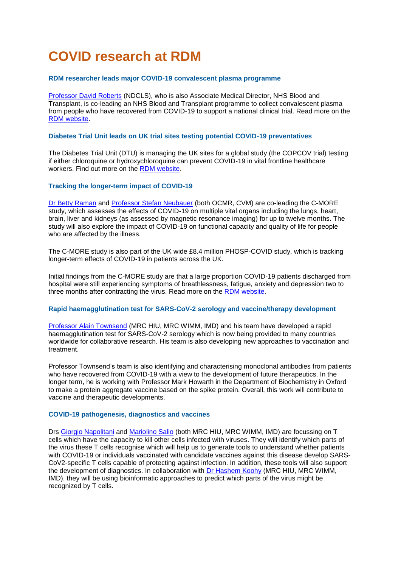# **COVID research at RDM**

### **RDM researcher leads major COVID-19 convalescent plasma programme**

[Professor David Roberts](https://www.rdm.ox.ac.uk/people/david-roberts) (NDCLS), who is also Associate Medical Director, NHS Blood and Transplant, is co-leading an NHS Blood and Transplant programme to collect convalescent plasma from people who have recovered from COVID-19 to support a national clinical trial. Read more on the [RDM website.](https://www.rdm.ox.ac.uk/news/rdm-researcher-leads-major-covid-19-convalescent-plasma-programme)

### **Diabetes Trial Unit leads on UK trial sites testing potential COVID-19 preventatives**

The Diabetes Trial Unit (DTU) is managing the UK sites for a global study (the COPCOV trial) testing if either chloroquine or hydroxychloroquine can prevent COVID-19 in vital frontline healthcare workers. Find out more on the [RDM website.](https://www.rdm.ox.ac.uk/news/diabetes-trial-unit-leads-on-uk-trial-sites-for-international-study-testing-antimalarials-as-potential-covid-19-treatments)

### **Tracking the longer-term impact of COVID-19**

[Dr Betty Raman](https://www.rdm.ox.ac.uk/people/betty-raman) and [Professor Stefan Neubauer](https://www.rdm.ox.ac.uk/people/stefan-neubauer) (both OCMR, CVM) are co-leading the C-MORE study, which assesses the effects of COVID-19 on multiple vital organs including the lungs, heart, brain, liver and kidneys (as assessed by magnetic resonance imaging) for up to twelve months. The study will also explore the impact of COVID-19 on functional capacity and quality of life for people who are affected by the illness.

The C-MORE study is also part of the UK wide £8.4 million [PHOSP-COVID](https://www.phosp.org/) study, which is tracking longer-term effects of COVID-19 in patients across the UK.

Initial findings from the C-MORE study are that a large proportion COVID-19 patients discharged from hospital were still experiencing symptoms of breathlessness, fatigue, anxiety and depression two to three months after contracting the virus. Read more on the [RDM website.](https://www.rdm.ox.ac.uk/news/new-study-reveals-medium-term-impact-of-covid-19)

#### **Rapid haemagglutination test for SARS-CoV-2 serology and vaccine/therapy development**

[Professor Alain Townsend](https://www.rdm.ox.ac.uk/people/alain-townsend) (MRC HIU, MRC WIMM, IMD) and his team have developed a rapid haemagglutination test for SARS-CoV-2 serology which is now being provided to many countries worldwide for collaborative research. His team is also developing new approaches to vaccination and treatment.

Professor Townsend's team is also identifying and characterising monoclonal antibodies from patients who have recovered from COVID-19 with a view to the development of future therapeutics. In the longer term, he is working with Professor Mark Howarth in the Department of Biochemistry in Oxford to make a protein aggregate vaccine based on the spike protein. Overall, this work will contribute to vaccine and therapeutic developments.

#### **COVID-19 pathogenesis, diagnostics and vaccines**

Drs [Giorgio Napolitani](https://www.rdm.ox.ac.uk/people/giorgio-napolitani) and [Mariolino Salio](https://www.rdm.ox.ac.uk/people/mariolina-salio) (both MRC HIU, MRC WIMM, IMD) are focussing on T cells which have the capacity to kill other cells infected with viruses. They will identify which parts of the virus these T cells recognise which will help us to generate tools to understand whether patients with COVID-19 or individuals vaccinated with candidate vaccines against this disease develop SARS-CoV2-specific T cells capable of protecting against infection. In addition, these tools will also support the development of diagnostics. In collaboration with [Dr Hashem Koohy](https://www.rdm.ox.ac.uk/people/hashem-koohy) (MRC HIU, MRC WIMM, IMD), they will be using bioinformatic approaches to predict which parts of the virus might be recognized by T cells.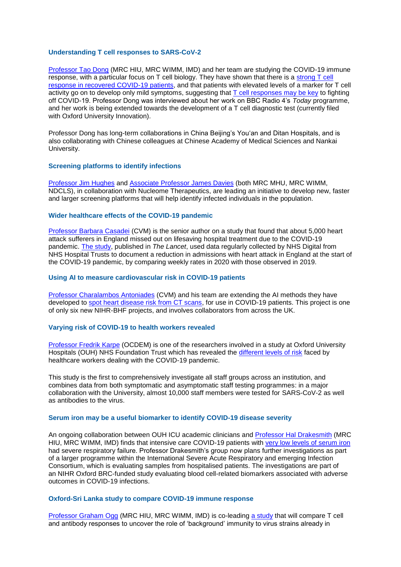#### **Understanding T cell responses to SARS-CoV-2**

[Professor Tao Dong](https://www.rdm.ox.ac.uk/people/tao-dong) (MRC HIU, MRC WIMM, IMD) and her team are studying the COVID-19 immune response, with a particular focus on T cell biology. They have shown that there is a [strong T cell](https://www.rdm.ox.ac.uk/news/persistent-immune-memory-of-covid-19-found-in-recovered-patient-t-cells)  [response in recovered COVID-19 patients,](https://www.rdm.ox.ac.uk/news/persistent-immune-memory-of-covid-19-found-in-recovered-patient-t-cells) and that patients with elevated levels of a marker for T cell activity go on to develop only mild symptoms, suggesting that  $\top$  cell responses may be key to fighting off COVID-19. Professor Dong was interviewed about her work on BBC Radio 4's *Today* programme, and her work is being extended towards the development of a T cell diagnostic test (currently filed with Oxford University Innovation).

Professor Dong has long-term collaborations in China Beijing's You'an and Ditan Hospitals, and is also collaborating with Chinese colleagues at Chinese Academy of Medical Sciences and Nankai University.

## **Screening platforms to identify infections**

[Professor Jim Hughes](https://www.rdm.ox.ac.uk/people/jim-hughes) and Associate [Professor James Davies](https://www.rdm.ox.ac.uk/people/james-davies) (both MRC MHU, MRC WIMM, NDCLS), in collaboration with Nucleome Therapeutics, are leading an initiative to develop new, faster and larger screening platforms that will help identify infected individuals in the population.

#### **Wider healthcare effects of the COVID-19 pandemic**

[Professor Barbara Casadei](https://www.rdm.ox.ac.uk/people/barbara-casadei) (CVM) is the senior author on a study that found that about 5,000 heart attack sufferers in England missed out on lifesaving hospital treatment due to the COVID-19 pandemic. [The study,](https://www.rdm.ox.ac.uk/news/about-5000-heart-attack-sufferers-in-england-missed-out-on-lifesaving-hospital-treatment-due-to-the-covid-19-pandemic) published in *The Lancet*, used data regularly collected by NHS Digital from NHS Hospital Trusts to document a reduction in admissions with heart attack in England at the start of the COVID-19 pandemic, by comparing weekly rates in 2020 with those observed in 2019.

#### **Using AI to measure cardiovascular risk in COVID-19 patients**

[Professor Charalambos Antoniades](https://www.rdm.ox.ac.uk/people/charalambos-antoniades) (CVM) and his team are extending the AI methods they have developed to [spot heart disease risk from CT scans,](https://www.rdm.ox.ac.uk/news/using-ai-to-measure-cardiovascular-risk-in-covid-19-patients) for use in COVID-19 patients. This project is one of only six new NIHR-BHF projects, and involves collaborators from across the UK.

### **Varying risk of COVID-19 to health workers revealed**

[Professor Fredrik Karpe](https://www.rdm.ox.ac.uk/people/fredrik-karpe) (OCDEM) is one of the researchers involved in a study at Oxford University Hospitals (OUH) NHS Foundation Trust which has revealed the [different levels of risk](https://www.rdm.ox.ac.uk/news/varying-risk-of-covid-19-to-health-workers-revealed) faced by healthcare workers dealing with the COVID-19 pandemic.

This study is the first to comprehensively investigate all staff groups across an institution, and combines data from both symptomatic and asymptomatic staff testing programmes: in a major collaboration with the University, almost 10,000 staff members were tested for SARS-CoV-2 as well as antibodies to the virus.

#### **Serum iron may be a useful biomarker to identify COVID-19 disease severity**

An ongoing collaboration between OUH ICU academic clinicians and [Professor Hal Drakesmith](https://www.rdm.ox.ac.uk/people/alexander-drakesmith) (MRC HIU, MRC WIMM, IMD) finds that intensive care COVID-19 patients with [very low levels of serum iron](https://www.rdm.ox.ac.uk/news/serum-iron-may-be-useful-biomarker-to-identify-covid-19-disease-severity) had severe respiratory failure. Professor Drakesmith's group now plans further investigations as part of a larger programme within the [International Severe Acute Respiratory and emerging Infection](https://isaric.tghn.org/)  [Consortium,](https://isaric.tghn.org/) which is evaluating samples from hospitalised patients. The investigations are part of an [NIHR Oxford](file:///C:/Users/cnarain/AppData/Local/Microsoft/Windows/INetCache/Content.Outlook/2K9YV70X/Correct%3f) BRC-funded study evaluating blood cell-related biomarkers associated with adverse outcomes in COVID-19 infections.

#### **Oxford-Sri Lanka study to compare COVID-19 immune response**

[Professor Graham Ogg](https://www.rdm.ox.ac.uk/people/graham-ogg) (MRC HIU, MRC WIMM, IMD) is co-leading [a study](https://www.rdm.ox.ac.uk/news/oxford-sri-lanka-study-to-compare-covid-19-immune-response) that will compare T cell and antibody responses to uncover the role of 'background' immunity to virus strains already in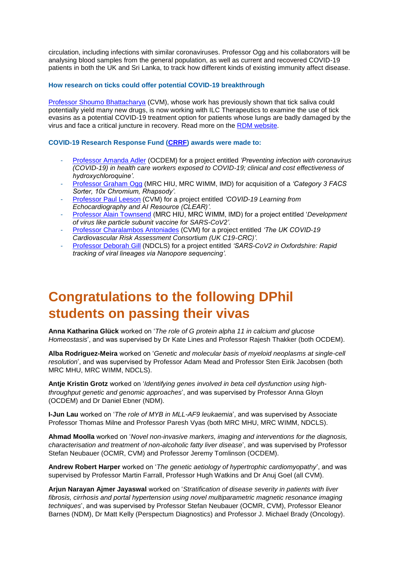circulation, including infections with similar coronaviruses. Professor Ogg and his collaborators will be analysing blood samples from the general population, as well as current and recovered COVID-19 patients in both the UK and Sri Lanka, to track how different kinds of existing immunity affect disease.

### **How research on ticks could offer potential COVID-19 breakthrough**

[Professor Shoumo Bhattacharya](https://www.rdm.ox.ac.uk/people/shoumo-bhattacharya) (CVM), whose work has previously shown that tick saliva could potentially yield many new drugs, is now working with ILC Therapeutics to examine the use of tick evasins as a potential COVID-19 treatment option for patients whose lungs are badly damaged by the virus and face a critical juncture in recovery. Read more on the [RDM website.](https://www.rdm.ox.ac.uk/news/how-research-on-ticks-could-offer-potential-covid-19-breakthrough)

### **COVID-19 Research Response Fund [\(CRRF\)](https://www.medsci.ox.ac.uk/research/internal/funding-directory/covid-19-research-response-fund) awards were made to:**

- [Professor Amanda Adler](https://www.rdm.ox.ac.uk/people/amanda-adler) (OCDEM) for a project entitled *'Preventing infection with coronavirus (COVID-19) in health care workers exposed to COVID-19; clinical and cost effectiveness of hydroxychloroquine'.*
- [Professor Graham Ogg](https://www.rdm.ox.ac.uk/people/graham-ogg) (MRC HIU, MRC WIMM, IMD) for acquisition of a *'Category 3 FACS Sorter, 10x Chromium, Rhapsody'.*
- [Professor Paul Leeson](https://www.rdm.ox.ac.uk/people/paul-leeson) (CVM) for a project entitled *'COVID-19 Learning from Echocardiography and AI Resource (CLEAR)'.*
- [Professor Alain Townsend](https://www.rdm.ox.ac.uk/people/alain-townsend) (MRC HIU, MRC WIMM, IMD) for a project entitled '*Development of virus like particle subunit vaccine for SARS-CoV2'.*
- [Professor Charalambos](https://www.rdm.ox.ac.uk/people/charalambos-antoniades) Antoniades (CVM) for a project entitled *'The UK COVID-19 Cardiovascular Risk Assessment Consortium (UK C19-CRC)'.*
- [Professor Deborah Gill](https://www.rdm.ox.ac.uk/people/deborah-gill) (NDCLS) for a project entitled *'SARS-CoV2 in Oxfordshire: Rapid tracking of viral lineages via Nanopore sequencing'.*

# **Congratulations to the following DPhil students on passing their vivas**

**Anna Katharina Glück** worked on '*The role of G protein alpha 11 in calcium and glucose Homeostasis*', and was supervised by Dr Kate Lines and Professor Rajesh Thakker (both OCDEM).

**Alba Rodriguez-Meira** worked on '*Genetic and molecular basis of myeloid neoplasms at single-cell resolution*', and was supervised by Professor Adam Mead and Professor Sten Eirik Jacobsen (both MRC MHU, MRC WIMM, NDCLS).

**Antje Kristin Grotz** worked on '*Identifying genes involved in beta cell dysfunction using highthroughput genetic and genomic approaches*', and was supervised by Professor Anna Gloyn (OCDEM) and Dr Daniel Ebner (NDM).

**I-Jun Lau** worked on '*The role of MYB in MLL-AF9 leukaemia*', and was supervised by Associate Professor Thomas Milne and Professor Paresh Vyas (both MRC MHU, MRC WIMM, NDCLS).

**Ahmad Moolla** worked on '*Novel non-invasive markers, imaging and interventions for the diagnosis, characterisation and treatment of non-alcoholic fatty liver disease*', and was supervised by Professor Stefan Neubauer (OCMR, CVM) and Professor Jeremy Tomlinson (OCDEM).

**Andrew Robert Harper** worked on '*The genetic aetiology of hypertrophic cardiomyopathy*', and was supervised by Professor Martin Farrall, Professor Hugh Watkins and Dr Anuj Goel (all CVM).

**Arjun Narayan Ajmer Jayaswal** worked on '*Stratification of disease severity in patients with liver fibrosis, cirrhosis and portal hypertension using novel multiparametric magnetic resonance imaging techniques*', and was supervised by Professor Stefan Neubauer (OCMR, CVM), Professor Eleanor Barnes (NDM), Dr Matt Kelly (Perspectum Diagnostics) and Professor J. Michael Brady (Oncology).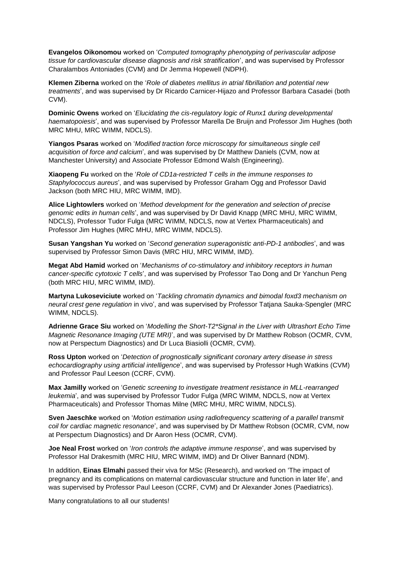**Evangelos Oikonomou** worked on '*Computed tomography phenotyping of perivascular adipose tissue for cardiovascular disease diagnosis and risk stratification*', and was supervised by Professor Charalambos Antoniades (CVM) and Dr Jemma Hopewell (NDPH).

**Klemen Ziberna** worked on the '*Role of diabetes mellitus in atrial fibrillation and potential new treatments*', and was supervised by Dr Ricardo Carnicer-Hijazo and Professor Barbara Casadei (both CVM).

**Dominic Owens** worked on '*Elucidating the cis-regulatory logic of Runx1 during developmental haematopoiesis*', and was supervised by Professor Marella De Bruijn and Professor Jim Hughes (both MRC MHU, MRC WIMM, NDCLS).

**Yiangos Psaras** worked on '*Modified traction force microscopy for simultaneous single cell acquisition of force and calcium*', and was supervised by Dr Matthew Daniels (CVM, now at Manchester University) and Associate Professor Edmond Walsh (Engineering).

**Xiaopeng Fu** worked on the '*Role of CD1a-restricted T cells in the immune responses to Staphylococcus aureus*', and was supervised by Professor Graham Ogg and Professor David Jackson (both MRC HIU, MRC WIMM, IMD).

**Alice Lightowlers** worked on '*Method development for the generation and selection of precise genomic edits in human cells*', and was supervised by Dr David Knapp (MRC MHU, MRC WIMM, NDCLS), Professor Tudor Fulga (MRC WIMM, NDCLS, now at Vertex Pharmaceuticals) and Professor Jim Hughes (MRC MHU, MRC WIMM, NDCLS).

**Susan Yangshan Yu** worked on '*Second generation superagonistic anti-PD-1 antibodies*', and was supervised by Professor Simon Davis (MRC HIU, MRC WIMM, IMD).

**Megat Abd Hamid** worked on '*Mechanisms of co-stimulatory and inhibitory receptors in human cancer-specific cytotoxic T cells*', and was supervised by Professor Tao Dong and Dr Yanchun Peng (both MRC HIU, MRC WIMM, IMD).

**Martyna Lukoseviciute** worked on '*Tackling chromatin dynamics and bimodal foxd3 mechanism on neural crest gene regulation* in vivo', and was supervised by Professor Tatjana Sauka-Spengler (MRC WIMM, NDCLS).

**Adrienne Grace Siu** worked on '*Modelling the Short-T2\*Signal in the Liver with Ultrashort Echo Time Magnetic Resonance Imaging (UTE MRI)*', and was supervised by Dr Matthew Robson (OCMR, CVM, now at Perspectum Diagnostics) and Dr Luca Biasiolli (OCMR, CVM).

**Ross Upton** worked on '*Detection of prognostically significant coronary artery disease in stress echocardiography using artificial intelligence*', and was supervised by Professor Hugh Watkins (CVM) and Professor Paul Leeson (CCRF, CVM).

**Max Jamilly** worked on '*Genetic screening to investigate treatment resistance in MLL-rearranged leukemia*', and was supervised by Professor Tudor Fulga (MRC WIMM, NDCLS, now at Vertex Pharmaceuticals) and Professor Thomas Milne (MRC MHU, MRC WIMM, NDCLS).

**Sven Jaeschke** worked on '*Motion estimation using radiofrequency scattering of a parallel transmit coil for cardiac magnetic resonance*', and was supervised by Dr Matthew Robson (OCMR, CVM, now at Perspectum Diagnostics) and Dr Aaron Hess (OCMR, CVM).

**Joe Neal Frost** worked on '*Iron controls the adaptive immune response*', and was supervised by Professor Hal Drakesmith (MRC HIU, MRC WIMM, IMD) and Dr Oliver Bannard (NDM).

In addition, **Einas Elmahi** passed their viva for MSc (Research), and worked on 'The impact of pregnancy and its complications on maternal cardiovascular structure and function in later life', and was supervised by Professor Paul Leeson (CCRF, CVM) and Dr Alexander Jones (Paediatrics).

Many congratulations to all our students!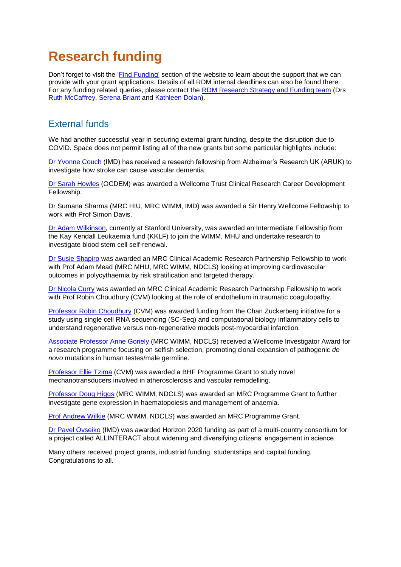# **Research funding**

Don't forget to visit the ['Find Funding'](https://www.rdm.ox.ac.uk/intranet/finance-grants-and-funding/find-funding) section of the website to learn about the support that we can provide with your grant applications. Details of all RDM internal deadlines can also be found there. For any funding related queries, please contact the [RDM Research Strategy and Funding team](mailto:funding@rdm.ox.ac.uk) (Drs [Ruth McCaffrey,](mailto:ruth.mccaffrey@rdm.ox.ac.uk) [Serena Briant](mailto:serena.briant@rdm.ox.ac.uk) and [Kathleen Dolan\)](mailto:kathleen.dolan@rdm.ox.ac.uk).

# External funds

We had another successful year in securing external grant funding, despite the disruption due to COVID. Space does not permit listing all of the new grants but some particular highlights include:

[Dr Yvonne Couch](https://www.rdm.ox.ac.uk/people/yvonne-couch) (IMD) has received a research fellowship from Alzheimer's Research UK (ARUK) to investigate how stroke can cause vascular dementia.

[Dr Sarah Howles](https://www.rdm.ox.ac.uk/people/sarah-howles) (OCDEM) was awarded a Wellcome Trust Clinical Research Career Development Fellowship.

Dr Sumana Sharma (MRC HIU, MRC WIMM, IMD) was awarded a Sir Henry Wellcome Fellowship to work with Prof Simon Davis.

[Dr Adam Wilkinson,](https://profiles.stanford.edu/adam-wilkinson) currently at Stanford University, was awarded an Intermediate Fellowship from the Kay Kendall Leukaemia fund (KKLF) to join the WIMM, MHU and undertake research to investigate blood stem cell self-renewal.

[Dr Susie Shapiro](https://www.rdm.ox.ac.uk/people/susie-shapiro) was awarded an MRC Clinical Academic Research Partnership Fellowship to work with Prof Adam Mead (MRC MHU, MRC WIMM, NDCLS) looking at improving cardiovascular outcomes in polycythaemia by risk stratification and targeted therapy.

[Dr Nicola Curry](https://www.rdm.ox.ac.uk/people/nicola-curry) was awarded an MRC Clinical Academic Research Partnership Fellowship to work with Prof Robin Choudhury (CVM) looking at the role of endothelium in traumatic coagulopathy.

[Professor Robin Choudhury](https://www.rdm.ox.ac.uk/people/robin-choudhury) (CVM) was awarded funding from the Chan Zuckerberg initiative for a study using single cell RNA sequencing (SC-Seq) and computational biology inflammatory cells to understand regenerative versus non-regenerative models post-myocardial infarction.

[Associate Professor Anne Goriely](https://www.rdm.ox.ac.uk/people/anne-goriely) (MRC WIMM, NDCLS) received a Wellcome Investigator Award for a research programme focusing on selfish selection, promoting clonal expansion of pathogenic *de novo* mutations in human testes/male germline.

[Professor Ellie Tzima](https://www.rdm.ox.ac.uk/people/ellie-tzima) (CVM) was awarded a BHF Programme Grant to study novel mechanotransducers involved in atherosclerosis and vascular remodelling.

[Professor Doug Higgs](https://www.rdm.ox.ac.uk/people/doug-higgs) (MRC WIMM, NDCLS) was awarded an MRC Programme Grant to further investigate gene expression in haematopoiesis and management of anaemia.

[Prof Andrew Wilkie](https://www.rdm.ox.ac.uk/people/andrew-wilkie) (MRC WIMM, NDCLS) was awarded an MRC Programme Grant.

[Dr Pavel Ovseiko](https://www.rdm.ox.ac.uk/people/pavel-ovseiko) (IMD) was awarded Horizon 2020 funding as part of a multi-country consortium for a project called ALLINTERACT about widening and diversifying citizens' engagement in science.

Many others received project grants, industrial funding, studentships and capital funding. Congratulations to all.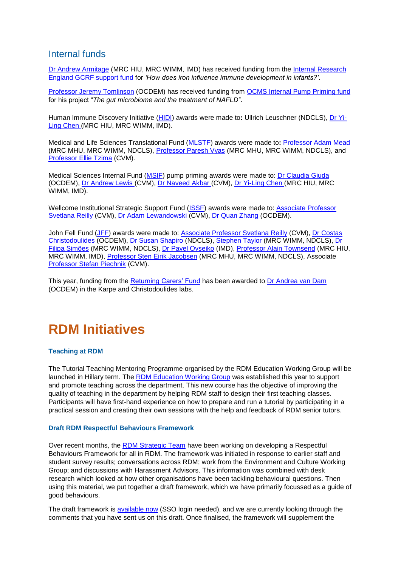# Internal funds

[Dr Andrew Armitage](https://www.rdm.ox.ac.uk/people/andrew-armitage) (MRC HIU, MRC WIMM, IMD) has received funding from the Internal Research [England GCRF support fund](https://researchsupport.admin.ox.ac.uk/funding/internal-hefce-gcrf) for *'How does iron influence immune development in infants?'*.

[Professor Jeremy Tomlinson](https://www.rdm.ox.ac.uk/people/jeremy-tomlinson) (OCDEM) has received funding from [OCMS Internal Pump Priming fund](https://www.medsci.ox.ac.uk/divisional-services/opportunities-and-updates/oxford-centre-for-microbiome-studies-internal-pump-priming-fund-deadline-fri-15-nov) for his project "*The gut microbiome and the treatment of NAFLD*"*.*

Human Immune Discovery Initiative [\(HIDI\)](https://www.medsci.ox.ac.uk/research/internal/funding-directory/hidi-internal-fund) awards were made to**:** Ullrich Leuschner (NDCLS), [Dr Yi-](https://www.rdm.ox.ac.uk/people/yi-ling-chen)[Ling Chen](https://www.rdm.ox.ac.uk/people/yi-ling-chen) (MRC HIU, MRC WIMM, IMD).

Medical and Life Sciences Translational Fund [\(MLSTF\)](https://www.medsci.ox.ac.uk/research/internal/funding-directory/medical-and-life-sciences-translational-fund) awards were made to**:** [Professor Adam Mead](https://www.rdm.ox.ac.uk/people/adam-mead) (MRC MHU, MRC WIMM, NDCLS), [Professor Paresh Vyas](https://www.rdm.ox.ac.uk/people/paresh-vyas) (MRC MHU, MRC WIMM, NDCLS), and [Professor Ellie Tzima](https://www.rdm.ox.ac.uk/people/ellie-tzima) (CVM).

Medical Sciences Internal Fund [\(MSIF\)](https://www.medsci.ox.ac.uk/research/internal/funding-directory/medical-science-internal-fund/medical-science-internal-fund-pump-priming) pump priming awards were made to: [Dr Claudia Giuda](https://www.rdm.ox.ac.uk/people/claudia-guida) (OCDEM), [Dr Andrew Lewis](https://www.dpag.ox.ac.uk/team/andrew-lewis) (CVM), [Dr Naveed Akbar](https://www.rdm.ox.ac.uk/people/naveed-akbar) (CVM), [Dr Yi-Ling Chen](https://www.rdm.ox.ac.uk/people/yi-ling-chen) (MRC HIU, MRC WIMM, IMD).

Wellcome Institutional Strategic Support Fund [\(ISSF\)](https://www.medsci.ox.ac.uk/research/internal/funding-directory/issf/) awards were made to: [Associate Professor](https://www.rdm.ox.ac.uk/people/svetlana-reilly)  [Svetlana Reilly](https://www.rdm.ox.ac.uk/people/svetlana-reilly) (CVM), [Dr Adam Lewandowski](https://www.rdm.ox.ac.uk/people/adam-lewandowski) (CVM), [Dr Quan Zhang](https://www.rdm.ox.ac.uk/people/quan-zhang) (OCDEM).

John Fell Fund [\(JFF\)](https://www.medsci.ox.ac.uk/research/internal/funding-directory/john-fell-fund) awards were made to: [Associate Professor Svetlana Reilly](https://www.rdm.ox.ac.uk/people/svetlana-reilly) (CVM), [Dr Costas](https://www.rdm.ox.ac.uk/people/constantinos-christodoulides)  [Christodoulides](https://www.rdm.ox.ac.uk/people/constantinos-christodoulides) (OCDEM), [Dr Susan Shapiro](https://www.rdm.ox.ac.uk/people/susie-shapiro) (NDCLS), [Stephen Taylor](https://www.rdm.ox.ac.uk/people/stephen-taylor) (MRC WIMM, NDCLS), [Dr](https://www.rdm.ox.ac.uk/people/filipa-da-costa-simoes)  [Filipa Simões](https://www.rdm.ox.ac.uk/people/filipa-da-costa-simoes) (MRC WIMM, NDCLS), [Dr Pavel Ovseiko](https://www.rdm.ox.ac.uk/people/pavel-ovseiko) (IMD), [Professor Alain Townsend](https://www.rdm.ox.ac.uk/people/alain-townsend) (MRC HIU, MRC WIMM, IMD), [Professor Sten Eirik Jacobsen](https://www.rdm.ox.ac.uk/people/sten-jacobsen) (MRC MHU, MRC WIMM, NDCLS), Associate [Professor Stefan Piechnik](https://www.rdm.ox.ac.uk/people/stefan-piechnik) (CVM).

This year, funding from the [Returning Carers' Fund](https://www.medsci.ox.ac.uk/research/internal/funding-directory/returning-carers-fund) has been awarded to [Dr Andrea van Dam](https://www.rdm.ox.ac.uk/people/andrea-vandam) (OCDEM) in the Karpe and Christodoulides labs.

# **RDM Initiatives**

# **Teaching at RDM**

The Tutorial Teaching Mentoring Programme organised by the RDM Education Working Group will be launched in Hillary term. The [RDM Education Working Group](https://www.rdm.ox.ac.uk/intranet/career-development/teaching-at-rdm) was established this year to support and promote teaching across the department. This new course has the objective of improving the quality of teaching in the department by helping RDM staff to design their first teaching classes. Participants will have first-hand experience on how to prepare and run a tutorial by participating in a practical session and creating their own sessions with the help and feedback of RDM senior tutors.

#### **Draft RDM Respectful Behaviours Framework**

Over recent months, the [RDM Strategic Team](https://www.rdm.ox.ac.uk/intranet/contacts-and-maps/rdm-strategic) have been working on developing a Respectful Behaviours Framework for all in RDM. The framework was initiated in response to earlier staff and student survey results; conversations across RDM; work from the Environment and Culture Working Group; and discussions with Harassment Advisors. This information was combined with desk research which looked at how other organisations have been tackling behavioural questions. Then using this material, we put together a draft framework, which we have primarily focussed as a guide of good behaviours.

The draft framework is [available now](https://www.rdm.ox.ac.uk/intranet/personnel/respectful-behaviours-framework) (SSO login needed), and we are currently looking through the comments that you have sent us on this draft. Once finalised, the framework will supplement the